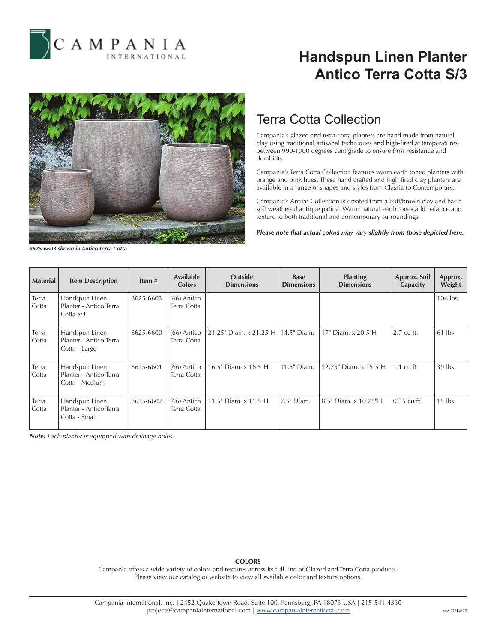

# **Handspun Linen Planter Antico Terra Cotta S/3**



### Terra Cotta Collection

Campania's glazed and terra cotta planters are hand made from natural clay using traditional artisanal techniques and high-fired at temperatures between 990-1000 degrees centigrade to ensure frost resistance and durability.

Campania's Terra Cotta Collection features warm earth toned planters with orange and pink hues. These hand crafted and high fired clay planters are available in a range of shapes and styles from Classic to Contemporary.

Campania's Antico Collection is created from a buff/brown clay and has a soft weathered antique patina. Warm natural earth tones add balance and texture to both traditional and contemporary surroundings.

*Please note that actual colors may vary slightly from those depicted here.*

*8625-6603 shown in Antico Terra Cotta*

| <b>Material</b> | <b>Item Description</b>                                    | Item#     | <b>Available</b><br><b>Colors</b> | Outside<br><b>Dimensions</b>         | <b>Base</b><br><b>Dimensions</b> | <b>Planting</b><br><b>Dimensions</b> | Approx. Soil<br>Capacity | Approx.<br>Weight |
|-----------------|------------------------------------------------------------|-----------|-----------------------------------|--------------------------------------|----------------------------------|--------------------------------------|--------------------------|-------------------|
| Terra<br>Cotta  | Handspun Linen<br>Planter - Antico Terra<br>Cotta $S/3$    | 8625-6603 | $(66)$ Antico<br>Terra Cotta      |                                      |                                  |                                      |                          | $106$ lbs         |
| Terra<br>Cotta  | Handspun Linen<br>Planter - Antico Terra<br>Cotta - Large  | 8625-6600 | $(66)$ Antico<br>Terra Cotta      | 21.25" Diam. x 21.25"H   14.5" Diam. |                                  | 17" Diam. x 20.5"H                   | 2.7 cu ft.               | $61$ lbs          |
| Terra<br>Cotta  | Handspun Linen<br>Planter - Antico Terra<br>Cotta - Medium | 8625-6601 | $(66)$ Antico<br>Terra Cotta      | 16.5" Diam. x 16.5"H                 | 11.5" Diam.                      | 12.75" Diam. x 15.5"H                | $1.1 \text{ cu ft.}$     | $39$ lbs          |
| Terra<br>Cotta  | Handspun Linen<br>Planter - Antico Terra<br>Cotta - Small  | 8625-6602 | $(66)$ Antico<br>Terra Cotta      | 11.5" Diam. x 11.5"H                 | $7.5$ " Diam.                    | 8.5" Diam. x 10.75"H                 | $0.35$ cu ft.            | $15$ lbs          |

*Note: Each planter is equipped with drainage holes.*

### **COLORS**

Campania offers a wide variety of colors and textures across its full line of Glazed and Terra Cotta products. Please view our catalog or website to view all available color and texture options.